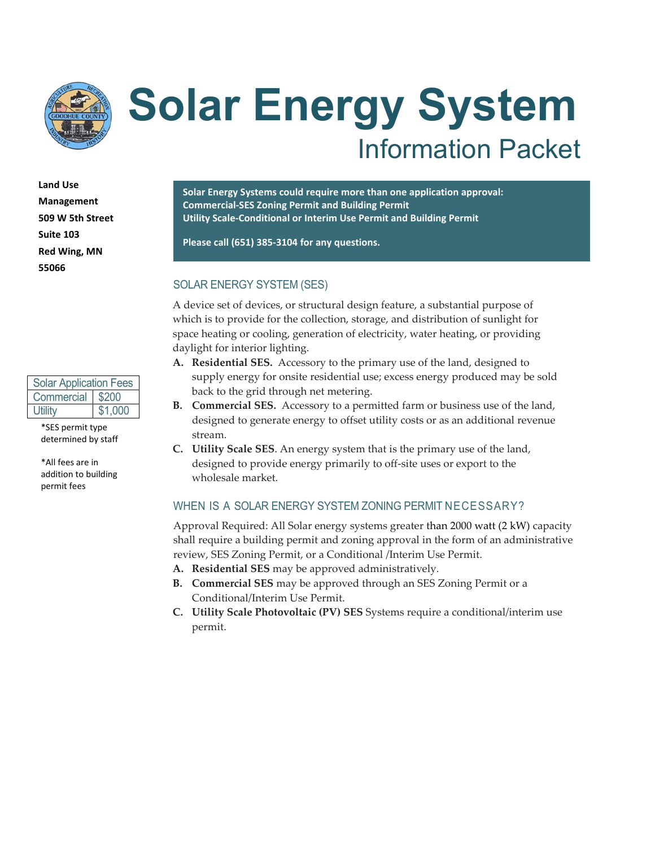

# **Solar Energy System** Information Packet

**Land Use Management 509 W 5th Street Suite 103 Red Wing, MN 55066**

| <b>Solar Application Fees</b> |         |  |  |  |
|-------------------------------|---------|--|--|--|
| Commercial \$200              |         |  |  |  |
| Utility                       | \$1,000 |  |  |  |

\*SES permit type determined by staff

\*All fees are in addition to building permit fees

**Solar Energy Systems could require more than one application approval: Commercial-SES Zoning Permit and Building Permit Utility Scale-Conditional or Interim Use Permit and Building Permit**

**Please call (651) 385-3104 for any questions.**

#### SOLAR ENERGY SYSTEM (SES)

A device set of devices, or structural design feature, a substantial purpose of which is to provide for the collection, storage, and distribution of sunlight for space heating or cooling, generation of electricity, water heating, or providing daylight for interior lighting.

- **A. Residential SES.** Accessory to the primary use of the land, designed to supply energy for onsite residential use; excess energy produced may be sold back to the grid through net metering.
- **B. Commercial SES.** Accessory to a permitted farm or business use of the land, designed to generate energy to offset utility costs or as an additional revenue stream.
- **C. Utility Scale SES**. An energy system that is the primary use of the land, designed to provide energy primarily to off-site uses or export to the wholesale market.

#### WHEN IS A SOLAR ENERGY SYSTEM ZONING PERMIT NECESSARY?

Approval Required: All Solar energy systems greater than 2000 watt (2 kW) capacity shall require a building permit and zoning approval in the form of an administrative review, SES Zoning Permit, or a Conditional /Interim Use Permit.

- **A. Residential SES** may be approved administratively.
- **B. Commercial SES** may be approved through an SES Zoning Permit or a Conditional/Interim Use Permit.
- **C. Utility Scale Photovoltaic (PV) SES** Systems require a conditional/interim use permit.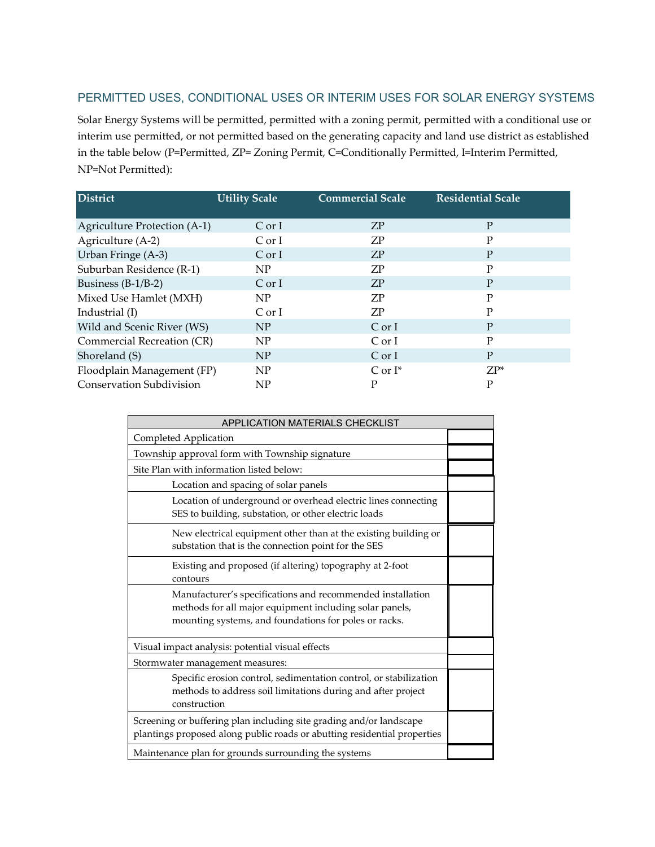#### PERMITTED USES, CONDITIONAL USES OR INTERIM USES FOR SOLAR ENERGY SYSTEMS

Solar Energy Systems will be permitted, permitted with a zoning permit, permitted with a conditional use or interim use permitted, or not permitted based on the generating capacity and land use district as established in the table below (P=Permitted, ZP= Zoning Permit, C=Conditionally Permitted, I=Interim Permitted, NP=Not Permitted):

| District                        | <b>Utility Scale</b> | <b>Commercial Scale</b> | <b>Residential Scale</b> |
|---------------------------------|----------------------|-------------------------|--------------------------|
|                                 |                      |                         |                          |
| Agriculture Protection (A-1)    | Cor I                | ZP                      | P                        |
| Agriculture (A-2)               | Cor I                | ZP                      | P                        |
| Urban Fringe (A-3)              | Cor I                | <b>ZP</b>               | P                        |
| Suburban Residence (R-1)        | NP                   | ΖP                      | P                        |
| Business $(B-1/B-2)$            | Cor I                | <b>ZP</b>               | P                        |
| Mixed Use Hamlet (MXH)          | NP                   | <b>ZP</b>               | P                        |
| Industrial (I)                  | C or I               | ΖP                      | P                        |
| Wild and Scenic River (WS)      | <b>NP</b>            | $C$ or I                | P                        |
| Commercial Recreation (CR)      | NP                   | $C$ or I                | P                        |
| Shoreland (S)                   | NP                   | $C$ or I                | P                        |
| Floodplain Management (FP)      | NP                   | $C$ or $I^*$            | $ZP^*$                   |
| <b>Conservation Subdivision</b> | NP                   | Р                       | P                        |

| APPLICATION MATERIALS CHECKLIST                                                                                                                                                |  |  |  |  |
|--------------------------------------------------------------------------------------------------------------------------------------------------------------------------------|--|--|--|--|
| Completed Application                                                                                                                                                          |  |  |  |  |
| Township approval form with Township signature                                                                                                                                 |  |  |  |  |
| Site Plan with information listed below:                                                                                                                                       |  |  |  |  |
| Location and spacing of solar panels                                                                                                                                           |  |  |  |  |
| Location of underground or overhead electric lines connecting<br>SES to building, substation, or other electric loads                                                          |  |  |  |  |
| New electrical equipment other than at the existing building or<br>substation that is the connection point for the SES                                                         |  |  |  |  |
| Existing and proposed (if altering) topography at 2-foot<br>contours                                                                                                           |  |  |  |  |
| Manufacturer's specifications and recommended installation<br>methods for all major equipment including solar panels,<br>mounting systems, and foundations for poles or racks. |  |  |  |  |
| Visual impact analysis: potential visual effects                                                                                                                               |  |  |  |  |
| Stormwater management measures:                                                                                                                                                |  |  |  |  |
| Specific erosion control, sedimentation control, or stabilization<br>methods to address soil limitations during and after project<br>construction                              |  |  |  |  |
| Screening or buffering plan including site grading and/or landscape<br>plantings proposed along public roads or abutting residential properties                                |  |  |  |  |
| Maintenance plan for grounds surrounding the systems                                                                                                                           |  |  |  |  |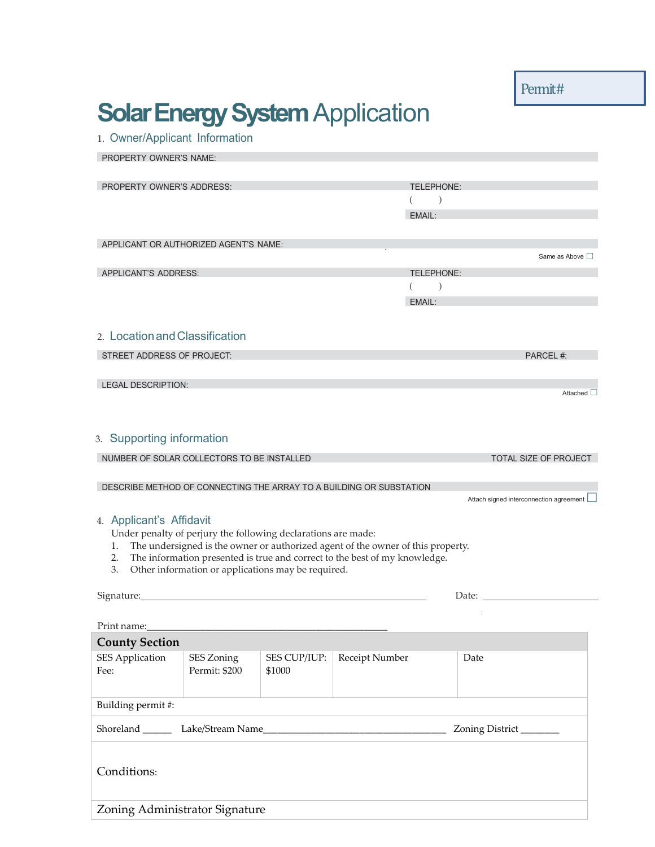Permit#

## **Solar Energy System Application**

1. Owner/Applicant Information

| PROPERTY OWNER'S NAME:                                              |                                                                                 |              |                |                        |                                           |  |
|---------------------------------------------------------------------|---------------------------------------------------------------------------------|--------------|----------------|------------------------|-------------------------------------------|--|
| <b>PROPERTY OWNER'S ADDRESS:</b>                                    |                                                                                 |              | TELEPHONE:     |                        |                                           |  |
|                                                                     |                                                                                 |              |                | $\mathcal{E}$          |                                           |  |
|                                                                     |                                                                                 |              |                | EMAIL:                 |                                           |  |
|                                                                     |                                                                                 |              |                |                        |                                           |  |
| APPLICANT OR AUTHORIZED AGENT'S NAME:                               |                                                                                 |              |                |                        |                                           |  |
|                                                                     |                                                                                 |              |                |                        | Same as Above                             |  |
| APPLICANT'S ADDRESS:                                                |                                                                                 |              | TELEPHONE:     |                        |                                           |  |
|                                                                     |                                                                                 |              |                | $\big)$                |                                           |  |
|                                                                     |                                                                                 |              |                | EMAIL:                 |                                           |  |
| 2. Location and Classification                                      |                                                                                 |              |                |                        |                                           |  |
| STREET ADDRESS OF PROJECT:                                          |                                                                                 |              |                |                        | PARCEL #:                                 |  |
| LEGAL DESCRIPTION:                                                  |                                                                                 |              |                |                        |                                           |  |
|                                                                     |                                                                                 |              |                |                        | Attached $\square$                        |  |
|                                                                     |                                                                                 |              |                |                        |                                           |  |
| 3. Supporting information                                           |                                                                                 |              |                |                        |                                           |  |
| NUMBER OF SOLAR COLLECTORS TO BE INSTALLED                          |                                                                                 |              |                |                        | TOTAL SIZE OF PROJECT                     |  |
|                                                                     |                                                                                 |              |                |                        |                                           |  |
| DESCRIBE METHOD OF CONNECTING THE ARRAY TO A BUILDING OR SUBSTATION |                                                                                 |              |                |                        | Attach signed interconnection agreement [ |  |
|                                                                     |                                                                                 |              |                |                        |                                           |  |
| 4. Applicant's Affidavit                                            | Under penalty of perjury the following declarations are made:                   |              |                |                        |                                           |  |
| 1.                                                                  | The undersigned is the owner or authorized agent of the owner of this property. |              |                |                        |                                           |  |
| 2.                                                                  | The information presented is true and correct to the best of my knowledge.      |              |                |                        |                                           |  |
| 3.                                                                  | Other information or applications may be required.                              |              |                |                        |                                           |  |
| Signature:                                                          |                                                                                 |              |                |                        | Date: $\mathcal{L}$                       |  |
|                                                                     |                                                                                 |              |                |                        |                                           |  |
| Print name:                                                         |                                                                                 |              |                |                        |                                           |  |
| <b>County Section</b>                                               |                                                                                 |              |                |                        |                                           |  |
| <b>SES Application</b>                                              | SES Zoning                                                                      | SES CUP/IUP: | Receipt Number |                        | Date                                      |  |
| Fee:                                                                | Permit: \$200                                                                   | \$1000       |                |                        |                                           |  |
| Building permit #:                                                  |                                                                                 |              |                |                        |                                           |  |
|                                                                     |                                                                                 |              |                | Zoning District_______ |                                           |  |
|                                                                     |                                                                                 |              |                |                        |                                           |  |
| Conditions:                                                         |                                                                                 |              |                |                        |                                           |  |

Zoning Administrator Signature